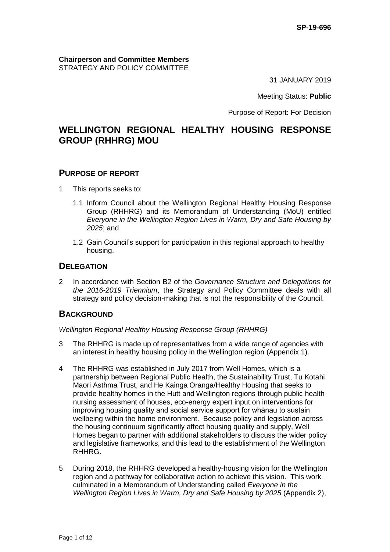**Chairperson and Committee Members** STRATEGY AND POLICY COMMITTEE

31 JANUARY 2019

Meeting Status: **Public**

Purpose of Report: For Decision

# **WELLINGTON REGIONAL HEALTHY HOUSING RESPONSE GROUP (RHHRG) MOU**

### **PURPOSE OF REPORT**

- 1 This reports seeks to:
	- 1.1 Inform Council about the Wellington Regional Healthy Housing Response Group (RHHRG) and its Memorandum of Understanding (MoU) entitled *Everyone in the Wellington Region Lives in Warm, Dry and Safe Housing by 2025*; and
	- 1.2 Gain Council's support for participation in this regional approach to healthy housing.

### **DELEGATION**

2 In accordance with Section B2 of the *Governance Structure and Delegations for the 2016-2019 Triennium*, the Strategy and Policy Committee deals with all strategy and policy decision-making that is not the responsibility of the Council.

# **BACKGROUND**

*Wellington Regional Healthy Housing Response Group (RHHRG)*

- 3 The RHHRG is made up of representatives from a wide range of agencies with an interest in healthy housing policy in the Wellington region (Appendix 1).
- 4 The RHHRG was established in July 2017 from Well Homes, which is a partnership between Regional Public Health, the Sustainability Trust, Tu Kotahi Maori Asthma Trust, and He Kainga Oranga/Healthy Housing that seeks to provide healthy homes in the Hutt and Wellington regions through public health nursing assessment of houses, eco-energy expert input on interventions for improving housing quality and social service support for whānau to sustain wellbeing within the home environment. Because policy and legislation across the housing continuum significantly affect housing quality and supply, Well Homes began to partner with additional stakeholders to discuss the wider policy and legislative frameworks, and this lead to the establishment of the Wellington RHHRG.
- 5 During 2018, the RHHRG developed a healthy-housing vision for the Wellington region and a pathway for collaborative action to achieve this vision. This work culminated in a Memorandum of Understanding called *Everyone in the Wellington Region Lives in Warm, Dry and Safe Housing by 2025* (Appendix 2),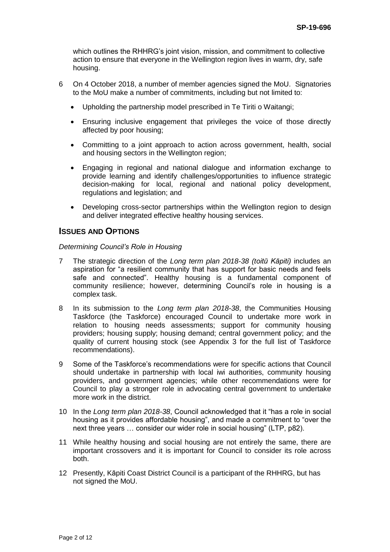which outlines the RHHRG's joint vision, mission, and commitment to collective action to ensure that everyone in the Wellington region lives in warm, dry, safe housing.

- 6 On 4 October 2018, a number of member agencies signed the MoU. Signatories to the MoU make a number of commitments, including but not limited to:
	- Upholding the partnership model prescribed in Te Tiriti o Waitangi;
	- Ensuring inclusive engagement that privileges the voice of those directly affected by poor housing;
	- Committing to a joint approach to action across government, health, social and housing sectors in the Wellington region;
	- Engaging in regional and national dialogue and information exchange to provide learning and identify challenges/opportunities to influence strategic decision-making for local, regional and national policy development, regulations and legislation; and
	- Developing cross-sector partnerships within the Wellington region to design and deliver integrated effective healthy housing services.

### **ISSUES AND OPTIONS**

#### *Determining Council's Role in Housing*

- 7 The strategic direction of the *Long term plan 2018-38 (toitū Kāpiti)* includes an aspiration for "a resilient community that has support for basic needs and feels safe and connected". Healthy housing is a fundamental component of community resilience; however, determining Council's role in housing is a complex task.
- 8 In its submission to the *Long term plan 2018-38*, the Communities Housing Taskforce (the Taskforce) encouraged Council to undertake more work in relation to housing needs assessments; support for community housing providers; housing supply; housing demand; central government policy; and the quality of current housing stock (see Appendix 3 for the full list of Taskforce recommendations).
- 9 Some of the Taskforce's recommendations were for specific actions that Council should undertake in partnership with local iwi authorities, community housing providers, and government agencies; while other recommendations were for Council to play a stronger role in advocating central government to undertake more work in the district.
- 10 In the *Long term plan 2018-38*, Council acknowledged that it "has a role in social housing as it provides affordable housing", and made a commitment to "over the next three years … consider our wider role in social housing" (LTP, p82).
- 11 While healthy housing and social housing are not entirely the same, there are important crossovers and it is important for Council to consider its role across both.
- 12 Presently, Kāpiti Coast District Council is a participant of the RHHRG, but has not signed the MoU.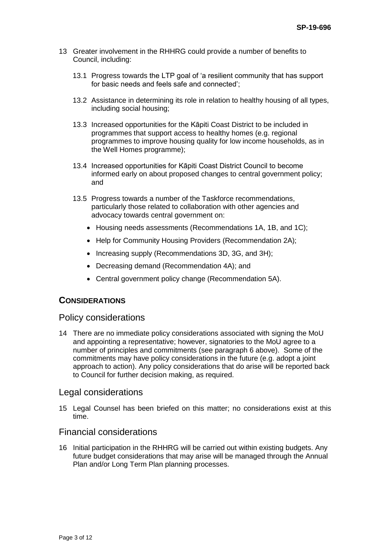- 13 Greater involvement in the RHHRG could provide a number of benefits to Council, including:
	- 13.1 Progress towards the LTP goal of 'a resilient community that has support for basic needs and feels safe and connected';
	- 13.2 Assistance in determining its role in relation to healthy housing of all types, including social housing;
	- 13.3 Increased opportunities for the Kāpiti Coast District to be included in programmes that support access to healthy homes (e.g. regional programmes to improve housing quality for low income households, as in the Well Homes programme);
	- 13.4 Increased opportunities for Kāpiti Coast District Council to become informed early on about proposed changes to central government policy; and
	- 13.5 Progress towards a number of the Taskforce recommendations, particularly those related to collaboration with other agencies and advocacy towards central government on:
		- Housing needs assessments (Recommendations 1A, 1B, and 1C);
		- Help for Community Housing Providers (Recommendation 2A);
		- Increasing supply (Recommendations 3D, 3G, and 3H);
		- Decreasing demand (Recommendation 4A); and
		- Central government policy change (Recommendation 5A).

# **CONSIDERATIONS**

### Policy considerations

14 There are no immediate policy considerations associated with signing the MoU and appointing a representative; however, signatories to the MoU agree to a number of principles and commitments (see paragraph 6 above). Some of the commitments may have policy considerations in the future (e.g. adopt a joint approach to action). Any policy considerations that do arise will be reported back to Council for further decision making, as required.

### Legal considerations

15 Legal Counsel has been briefed on this matter; no considerations exist at this time.

# Financial considerations

16 Initial participation in the RHHRG will be carried out within existing budgets. Any future budget considerations that may arise will be managed through the Annual Plan and/or Long Term Plan planning processes.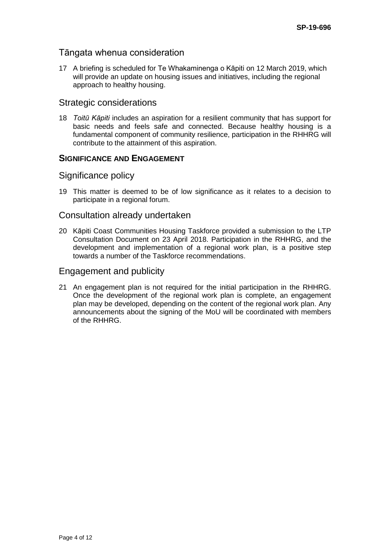# Tāngata whenua consideration

17 A briefing is scheduled for Te Whakaminenga o Kāpiti on 12 March 2019, which will provide an update on housing issues and initiatives, including the regional approach to healthy housing.

# Strategic considerations

18 *Toitū Kāpiti* includes an aspiration for a resilient community that has support for basic needs and feels safe and connected. Because healthy housing is a fundamental component of community resilience, participation in the RHHRG will contribute to the attainment of this aspiration.

# **SIGNIFICANCE AND ENGAGEMENT**

### Significance policy

19 This matter is deemed to be of low significance as it relates to a decision to participate in a regional forum.

### Consultation already undertaken

20 Kāpiti Coast Communities Housing Taskforce provided a submission to the LTP Consultation Document on 23 April 2018. Participation in the RHHRG, and the development and implementation of a regional work plan, is a positive step towards a number of the Taskforce recommendations.

## Engagement and publicity

21 An engagement plan is not required for the initial participation in the RHHRG. Once the development of the regional work plan is complete, an engagement plan may be developed, depending on the content of the regional work plan. Any announcements about the signing of the MoU will be coordinated with members of the RHHRG.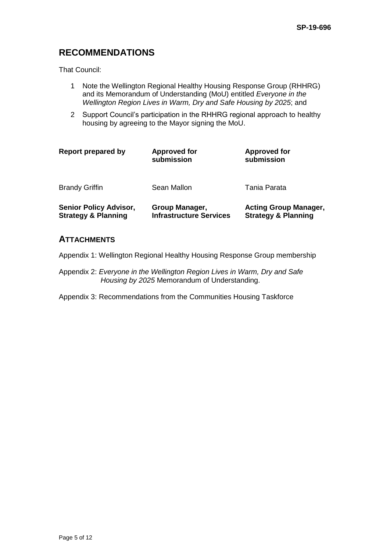# **RECOMMENDATIONS**

That Council:

- 1 Note the Wellington Regional Healthy Housing Response Group (RHHRG) and its Memorandum of Understanding (MoU) entitled *Everyone in the Wellington Region Lives in Warm, Dry and Safe Housing by 2025*; and
- 2 Support Council's participation in the RHHRG regional approach to healthy housing by agreeing to the Mayor signing the MoU.

| <b>Report prepared by</b>                                       | <b>Approved for</b><br>submission                | <b>Approved for</b><br>submission                              |  |
|-----------------------------------------------------------------|--------------------------------------------------|----------------------------------------------------------------|--|
| <b>Brandy Griffin</b>                                           | Sean Mallon                                      | Tania Parata                                                   |  |
| <b>Senior Policy Advisor,</b><br><b>Strategy &amp; Planning</b> | Group Manager,<br><b>Infrastructure Services</b> | <b>Acting Group Manager,</b><br><b>Strategy &amp; Planning</b> |  |

# **ATTACHMENTS**

Appendix 1: Wellington Regional Healthy Housing Response Group membership

Appendix 2: *Everyone in the Wellington Region Lives in Warm, Dry and Safe Housing by 2025* Memorandum of Understanding.

Appendix 3: Recommendations from the Communities Housing Taskforce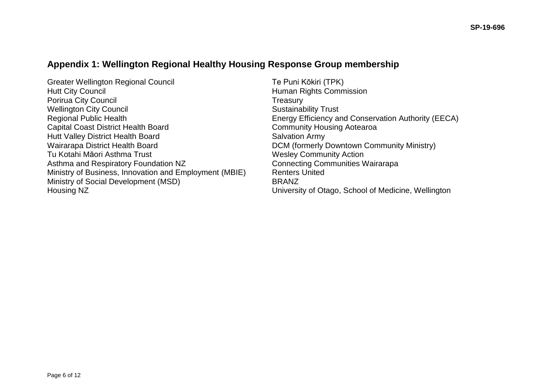# **Appendix 1: Wellington Regional Healthy Housing Response Group membership**

Greater Wellington Regional Council and Te Puni Kōkiri (TPK)<br>Hutt City Council Hutt City Council Porirua City Council **Treasury Treasury** Wellington City Council **Sustainability Trust** Sustainability Trust Regional Public Health **Energy Efficiency and Conservation Authority (EECA)** Capital Coast District Health Board Community Housing Aotearoa Hutt Valley District Health Board **Salvation Army** Wairarapa District Health Board **DCM** (formerly Downtown Community Ministry) Tu Kotahi Māori Asthma Trust Wesley Community Action Asthma and Respiratory Foundation NZ Connecting Communities Wairarapa Ministry of Business, Innovation and Employment (MBIE) Renters United Ministry of Social Development (MSD) BRANZ Housing NZ University of Otago, School of Medicine, Wellington

Human Rights Commission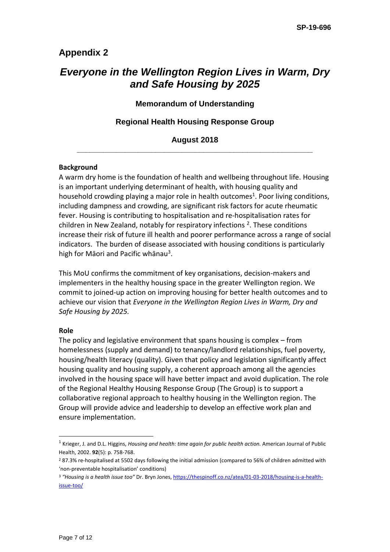# **Appendix 2**

# *Everyone in the Wellington Region Lives in Warm, Dry and Safe Housing by 2025*

### **Memorandum of Understanding**

### **Regional Health Housing Response Group**

### **August 2018 \_\_\_\_\_\_\_\_\_\_\_\_\_\_\_\_\_\_\_\_\_\_\_\_\_\_\_\_\_\_\_\_\_\_\_\_\_\_\_\_\_\_\_\_\_\_\_\_\_\_\_\_\_\_**

### **Background**

A warm dry home is the foundation of health and wellbeing throughout life. Housing is an important underlying determinant of health, with housing quality and household crowding playing a major role in health outcomes<sup>1</sup>. Poor living conditions, including dampness and crowding, are significant risk factors for acute rheumatic fever. Housing is contributing to hospitalisation and re-hospitalisation rates for children in New Zealand, notably for respiratory infections  $2$ . These conditions increase their risk of future ill health and poorer performance across a range of social indicators. The burden of disease associated with housing conditions is particularly high for Māori and Pacific whānau<sup>3</sup>.

This MoU confirms the commitment of key organisations, decision-makers and implementers in the healthy housing space in the greater Wellington region. We commit to joined-up action on improving housing for better health outcomes and to achieve our vision that *Everyone in the Wellington Region Lives in Warm, Dry and Safe Housing by 2025.*

#### **Role**

The policy and legislative environment that spans housing is complex – from homelessness (supply and demand) to tenancy/landlord relationships, fuel poverty, housing/health literacy (quality). Given that policy and legislation significantly affect housing quality and housing supply, a coherent approach among all the agencies involved in the housing space will have better impact and avoid duplication. The role of the Regional Healthy Housing Response Group (The Group) is to support a collaborative regional approach to healthy housing in the Wellington region. The Group will provide advice and leadership to develop an effective work plan and ensure implementation.

<sup>1</sup> Krieger, J. and D.L. Higgins, *Housing and health: time again for public health action.* American Journal of Public Health, 2002. **92**(5): p. 758-768.

<sup>2</sup> 87.3% re-hospitalised at 5502 days following the initial admission (compared to 56% of children admitted with 'non-preventable hospitalisation' conditions)

<sup>3</sup> *"Housing is a health issue too"* Dr. Bryn Jones[, https://thespinoff.co.nz/atea/01-03-2018/housing-is-a-health](https://thespinoff.co.nz/atea/01-03-2018/housing-is-a-health-issue-too/)[issue-too/](https://thespinoff.co.nz/atea/01-03-2018/housing-is-a-health-issue-too/)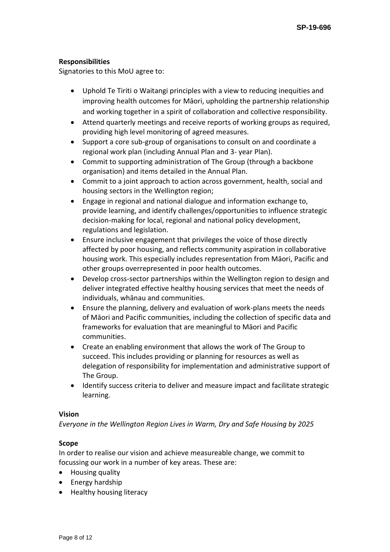### **Responsibilities**

Signatories to this MoU agree to:

- Uphold Te Tiriti o Waitangi principles with a view to reducing inequities and improving health outcomes for Māori, upholding the partnership relationship and working together in a spirit of collaboration and collective responsibility.
- Attend quarterly meetings and receive reports of working groups as required, providing high level monitoring of agreed measures.
- Support a core sub-group of organisations to consult on and coordinate a regional work plan (including Annual Plan and 3- year Plan).
- Commit to supporting administration of The Group (through a backbone organisation) and items detailed in the Annual Plan.
- Commit to a joint approach to action across government, health, social and housing sectors in the Wellington region;
- Engage in regional and national dialogue and information exchange to, provide learning, and identify challenges/opportunities to influence strategic decision-making for local, regional and national policy development, regulations and legislation.
- Ensure inclusive engagement that privileges the voice of those directly affected by poor housing, and reflects community aspiration in collaborative housing work. This especially includes representation from Māori, Pacific and other groups overrepresented in poor health outcomes.
- Develop cross-sector partnerships within the Wellington region to design and deliver integrated effective healthy housing services that meet the needs of individuals, whānau and communities.
- Ensure the planning, delivery and evaluation of work-plans meets the needs of Māori and Pacific communities, including the collection of specific data and frameworks for evaluation that are meaningful to Māori and Pacific communities.
- Create an enabling environment that allows the work of The Group to succeed. This includes providing or planning for resources as well as delegation of responsibility for implementation and administrative support of The Group.
- Identify success criteria to deliver and measure impact and facilitate strategic learning.

### **Vision**

*Everyone in the Wellington Region Lives in Warm, Dry and Safe Housing by 2025*

### **Scope**

In order to realise our vision and achieve measureable change, we commit to focussing our work in a number of key areas. These are:

- Housing quality
- Energy hardship
- Healthy housing literacy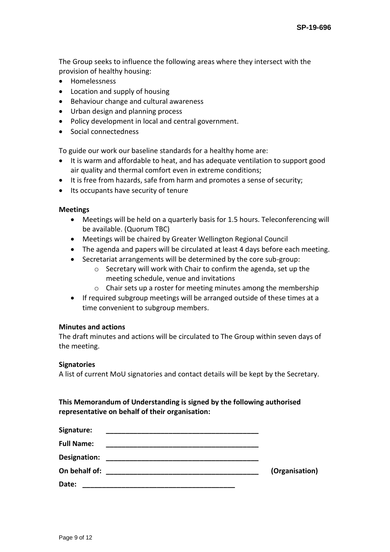The Group seeks to influence the following areas where they intersect with the provision of healthy housing:

- Homelessness
- Location and supply of housing
- Behaviour change and cultural awareness
- Urban design and planning process
- Policy development in local and central government.
- Social connectedness

To guide our work our baseline standards for a healthy home are:

- It is warm and affordable to heat, and has adequate ventilation to support good air quality and thermal comfort even in extreme conditions;
- It is free from hazards, safe from harm and promotes a sense of security;
- Its occupants have security of tenure

### **Meetings**

- Meetings will be held on a quarterly basis for 1.5 hours. Teleconferencing will be available. (Quorum TBC)
- Meetings will be chaired by Greater Wellington Regional Council
- The agenda and papers will be circulated at least 4 days before each meeting.
- Secretariat arrangements will be determined by the core sub-group:
	- o Secretary will work with Chair to confirm the agenda, set up the meeting schedule, venue and invitations
	- o Chair sets up a roster for meeting minutes among the membership
- If required subgroup meetings will be arranged outside of these times at a time convenient to subgroup members.

### **Minutes and actions**

The draft minutes and actions will be circulated to The Group within seven days of the meeting.

#### **Signatories**

A list of current MoU signatories and contact details will be kept by the Secretary.

**This Memorandum of Understanding is signed by the following authorised representative on behalf of their organisation:**

| Signature:        |                |
|-------------------|----------------|
| <b>Full Name:</b> |                |
| Designation:      |                |
| On behalf of:     | (Organisation) |
| Date:             |                |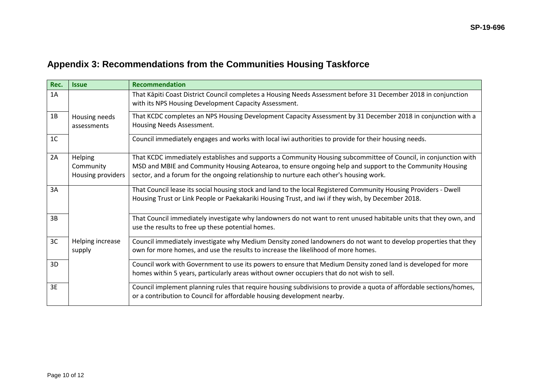# **Appendix 3: Recommendations from the Communities Housing Taskforce**

| Rec.           | <b>Issue</b>                              | <b>Recommendation</b>                                                                                                                                                                                                                                                                                                 |
|----------------|-------------------------------------------|-----------------------------------------------------------------------------------------------------------------------------------------------------------------------------------------------------------------------------------------------------------------------------------------------------------------------|
| 1A             |                                           | That Kāpiti Coast District Council completes a Housing Needs Assessment before 31 December 2018 in conjunction<br>with its NPS Housing Development Capacity Assessment.                                                                                                                                               |
| 1B             | Housing needs<br>assessments              | That KCDC completes an NPS Housing Development Capacity Assessment by 31 December 2018 in conjunction with a<br>Housing Needs Assessment.                                                                                                                                                                             |
| 1 <sup>C</sup> |                                           | Council immediately engages and works with local iwi authorities to provide for their housing needs.                                                                                                                                                                                                                  |
| 2A             | Helping<br>Community<br>Housing providers | That KCDC immediately establishes and supports a Community Housing subcommittee of Council, in conjunction with<br>MSD and MBIE and Community Housing Aotearoa, to ensure ongoing help and support to the Community Housing<br>sector, and a forum for the ongoing relationship to nurture each other's housing work. |
| 3A             |                                           | That Council lease its social housing stock and land to the local Registered Community Housing Providers - Dwell<br>Housing Trust or Link People or Paekakariki Housing Trust, and iwi if they wish, by December 2018.                                                                                                |
| 3B             |                                           | That Council immediately investigate why landowners do not want to rent unused habitable units that they own, and<br>use the results to free up these potential homes.                                                                                                                                                |
| 3C             | Helping increase<br>supply                | Council immediately investigate why Medium Density zoned landowners do not want to develop properties that they<br>own for more homes, and use the results to increase the likelihood of more homes.                                                                                                                  |
| 3D             |                                           | Council work with Government to use its powers to ensure that Medium Density zoned land is developed for more<br>homes within 5 years, particularly areas without owner occupiers that do not wish to sell.                                                                                                           |
| 3E             |                                           | Council implement planning rules that require housing subdivisions to provide a quota of affordable sections/homes,<br>or a contribution to Council for affordable housing development nearby.                                                                                                                        |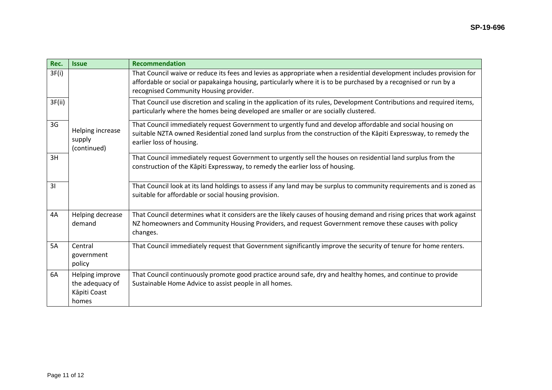| Rec.   | <b>Issue</b>                                                | <b>Recommendation</b>                                                                                                                                                                                                                                                               |
|--------|-------------------------------------------------------------|-------------------------------------------------------------------------------------------------------------------------------------------------------------------------------------------------------------------------------------------------------------------------------------|
| 3F(i)  |                                                             | That Council waive or reduce its fees and levies as appropriate when a residential development includes provision for<br>affordable or social or papakainga housing, particularly where it is to be purchased by a recognised or run by a<br>recognised Community Housing provider. |
| 3F(ii) |                                                             | That Council use discretion and scaling in the application of its rules, Development Contributions and required items,<br>particularly where the homes being developed are smaller or are socially clustered.                                                                       |
| 3G     | Helping increase<br>supply<br>(continued)                   | That Council immediately request Government to urgently fund and develop affordable and social housing on<br>suitable NZTA owned Residential zoned land surplus from the construction of the Kāpiti Expressway, to remedy the<br>earlier loss of housing.                           |
| 3H     |                                                             | That Council immediately request Government to urgently sell the houses on residential land surplus from the<br>construction of the Kāpiti Expressway, to remedy the earlier loss of housing.                                                                                       |
| 31     |                                                             | That Council look at its land holdings to assess if any land may be surplus to community requirements and is zoned as<br>suitable for affordable or social housing provision.                                                                                                       |
| 4A     | Helping decrease<br>demand                                  | That Council determines what it considers are the likely causes of housing demand and rising prices that work against<br>NZ homeowners and Community Housing Providers, and request Government remove these causes with policy<br>changes.                                          |
| 5A     | Central<br>government<br>policy                             | That Council immediately request that Government significantly improve the security of tenure for home renters.                                                                                                                                                                     |
| 6A     | Helping improve<br>the adequacy of<br>Kāpiti Coast<br>homes | That Council continuously promote good practice around safe, dry and healthy homes, and continue to provide<br>Sustainable Home Advice to assist people in all homes.                                                                                                               |